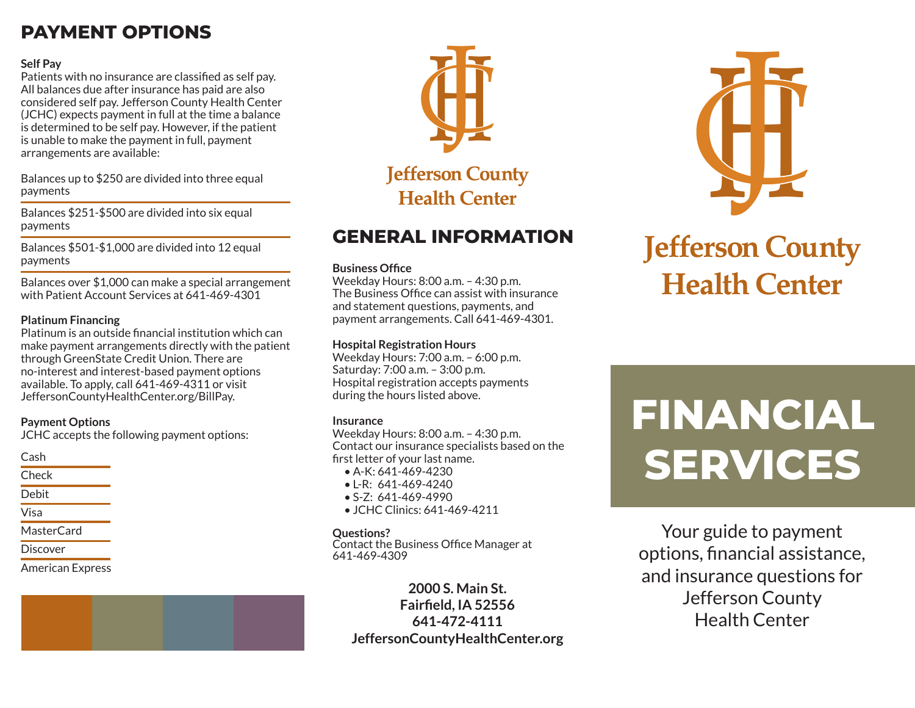## **PAYMENT OPTIONS**

#### **Self Pay**

Patients with no insurance are classified as self pay. All balances due after insurance has paid are also considered self pay. Jefferson County Health Center (JCHC) expects payment in full at the time a balance is determined to be self pay. However, if the patient is unable to make the payment in full, payment arrangements are available:

Balances up to \$250 are divided into three equal payments

Balances \$251-\$500 are divided into six equal payments

Balances \$501-\$1,000 are divided into 12 equal payments

Balances over \$1,000 can make a special arrangement with Patient Account Services at 641-469-4301

#### **Platinum Financing**

Platinum is an outside financial institution which can make payment arrangements directly with the patient through GreenState Credit Union. There are no-interest and interest-based payment options available. To apply, call 641-469-4311 or visit JeffersonCountyHealthCenter.org/BillPay.

#### **Payment Options**

JCHC accepts the following payment options:

Cash

**Check** 

Debit

- Visa
- MasterCard
- Discover

American Express



### **GENERAL INFORMATION**

#### **Business Office**

Weekday Hours: 8:00 a.m. – 4:30 p.m. The Business Office can assist with insurance and statement questions, payments, and payment arrangements. Call 641-469-4301.

#### **Hospital Registration Hours**

Weekday Hours: 7:00 a.m. – 6:00 p.m. Saturday: 7:00 a.m. – 3:00 p.m. Hospital registration accepts payments during the hours listed above.

#### **Insurance**

Weekday Hours: 8:00 a.m. – 4:30 p.m. Contact our insurance specialists based on the first letter of your last name.

- A-K: 641-469-4230
- $\bullet$  L-R: 641-469-4240
- S-Z: 641-469-4990
- JCHC Clinics: 641-469-4211

#### **Questions?**

Contact the Business Office Manager at 641-469-4309

**2000 S. Main St. Fairfield, IA 52556 641-472-4111 JeffersonCountyHealthCenter.org**



# **Jefferson County Health Center**

# **FINANCIAL SERVICES**

Your guide to payment options, financial assistance, and insurance questions for Jefferson County Health Center